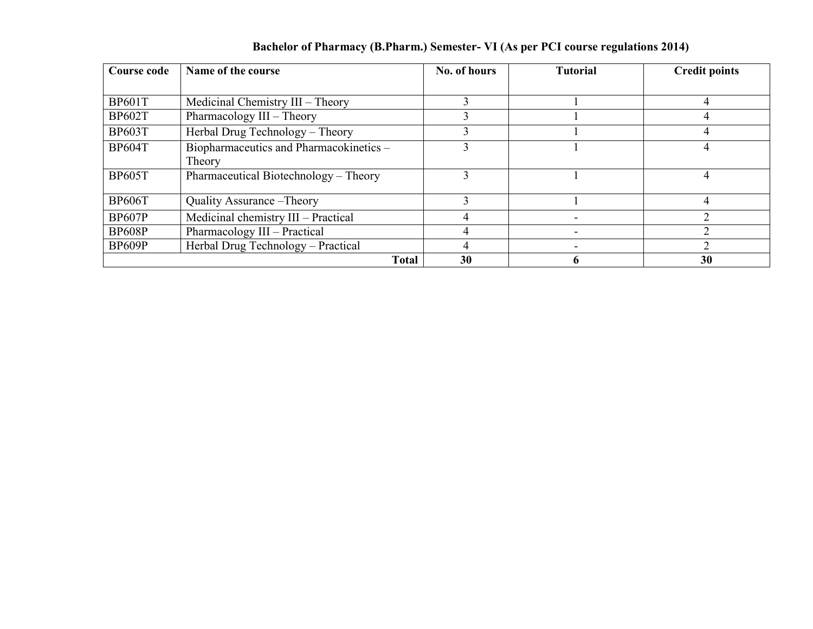| Course code   | Name of the course                      | No. of hours | <b>Tutorial</b> | <b>Credit points</b> |  |  |
|---------------|-----------------------------------------|--------------|-----------------|----------------------|--|--|
|               |                                         |              |                 |                      |  |  |
| <b>BP601T</b> | Medicinal Chemistry III - Theory        |              |                 |                      |  |  |
| <b>BP602T</b> | Pharmacology III - Theory               |              |                 |                      |  |  |
| <b>BP603T</b> | Herbal Drug Technology - Theory         | 3            |                 |                      |  |  |
| <b>BP604T</b> | Biopharmaceutics and Pharmacokinetics - | $\mathbf{3}$ |                 |                      |  |  |
|               | Theory                                  |              |                 |                      |  |  |
| <b>BP605T</b> | Pharmaceutical Biotechnology – Theory   | 3            |                 |                      |  |  |
|               |                                         |              |                 |                      |  |  |
| <b>BP606T</b> | Quality Assurance - Theory              |              |                 |                      |  |  |
| <b>BP607P</b> | Medicinal chemistry III - Practical     | 4            |                 |                      |  |  |
| <b>BP608P</b> | Pharmacology III - Practical            |              |                 |                      |  |  |
| <b>BP609P</b> | Herbal Drug Technology - Practical      | 4            |                 |                      |  |  |
|               | <b>Total</b>                            | 30           |                 | 30                   |  |  |

## Bachelor of Pharmacy (B.Pharm.) Semester- VI (As per PCI course regulations 2014)